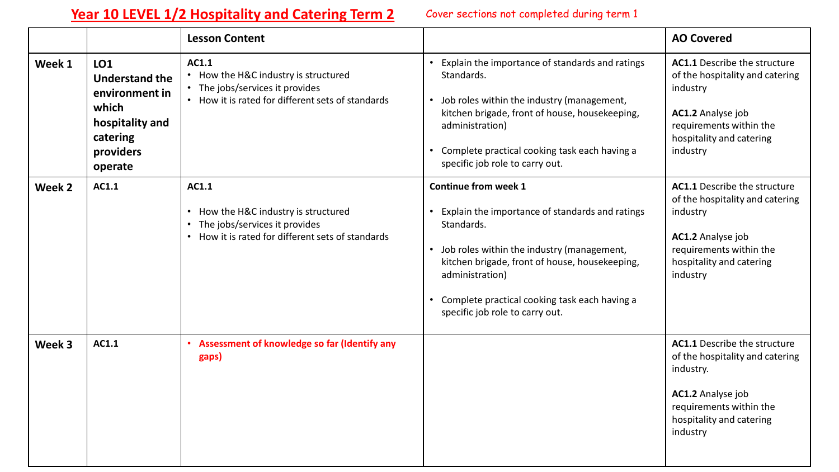## Year 10 LEVEL 1/2 Hospitality and Catering Term 2 Cover sections not completed during term 1

|        |                                                                                                                       | <b>Lesson Content</b>                                                                                                                                                  |                                                                                                                                                                                                                                                                                                                                     | <b>AO Covered</b>                                                                                                                                                           |
|--------|-----------------------------------------------------------------------------------------------------------------------|------------------------------------------------------------------------------------------------------------------------------------------------------------------------|-------------------------------------------------------------------------------------------------------------------------------------------------------------------------------------------------------------------------------------------------------------------------------------------------------------------------------------|-----------------------------------------------------------------------------------------------------------------------------------------------------------------------------|
| Week 1 | <b>LO1</b><br><b>Understand the</b><br>environment in<br>which<br>hospitality and<br>catering<br>providers<br>operate | AC1.1<br>• How the H&C industry is structured<br>• The jobs/services it provides<br>• How it is rated for different sets of standards                                  | Explain the importance of standards and ratings<br>$\bullet$<br>Standards.<br>Job roles within the industry (management,<br>$\bullet$<br>kitchen brigade, front of house, housekeeping,<br>administration)<br>Complete practical cooking task each having a<br>$\bullet$<br>specific job role to carry out.                         | <b>AC1.1</b> Describe the structure<br>of the hospitality and catering<br>industry<br>AC1.2 Analyse job<br>requirements within the<br>hospitality and catering<br>industry  |
| Week 2 | AC1.1                                                                                                                 | AC1.1<br>How the H&C industry is structured<br>$\bullet$<br>The jobs/services it provides<br>$\bullet$<br>How it is rated for different sets of standards<br>$\bullet$ | Continue from week 1<br>Explain the importance of standards and ratings<br>$\bullet$<br>Standards.<br>Job roles within the industry (management,<br>$\bullet$<br>kitchen brigade, front of house, housekeeping,<br>administration)<br>Complete practical cooking task each having a<br>$\bullet$<br>specific job role to carry out. | <b>AC1.1</b> Describe the structure<br>of the hospitality and catering<br>industry<br>AC1.2 Analyse job<br>requirements within the<br>hospitality and catering<br>industry  |
| Week 3 | AC1.1                                                                                                                 | • Assessment of knowledge so far (Identify any<br>gaps)                                                                                                                |                                                                                                                                                                                                                                                                                                                                     | <b>AC1.1</b> Describe the structure<br>of the hospitality and catering<br>industry.<br>AC1.2 Analyse job<br>requirements within the<br>hospitality and catering<br>industry |